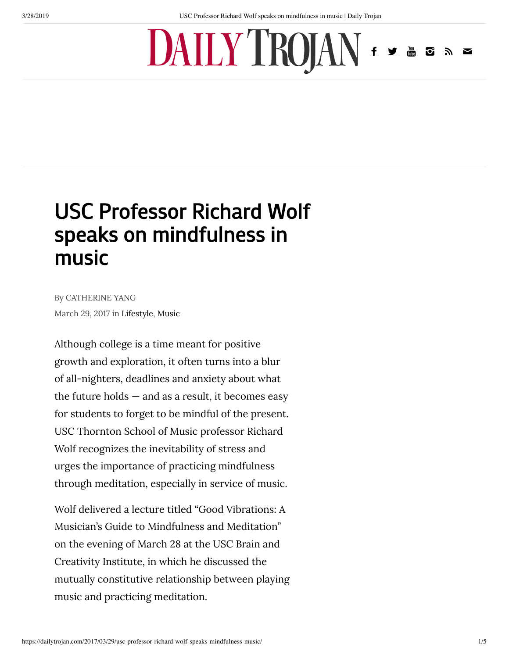## $DAIIY'IROJAN$

## [USC Professor Richard Wolf](https://dailytrojan.com/2017/03/29/usc-professor-richard-wolf-speaks-mindfulness-music/) speaks on mindfulness in music

By CATHERINE YANG March 29, 2017 in [Lifestyle](https://dailytrojan.com/category/lifestyle/), [Music](https://dailytrojan.com/category/lifestyle/music/)

Although college is a time meant for positive growth and exploration, it often turns into a blur of all-nighters, deadlines and anxiety about what the future holds  $-$  and as a result, it becomes easy for students to forget to be mindful of the present. USC Thornton School of Music professor Richard Wolf recognizes the inevitability of stress and urges the importance of practicing mindfulness through meditation, especially in service of music.

Wolf delivered a lecture titled "Good Vibrations: A Musician's Guide to Mindfulness and Meditation" on the evening of March 28 at the USC Brain and Creativity Institute, in which he discussed the mutually constitutive relationship between playing music and practicing meditation.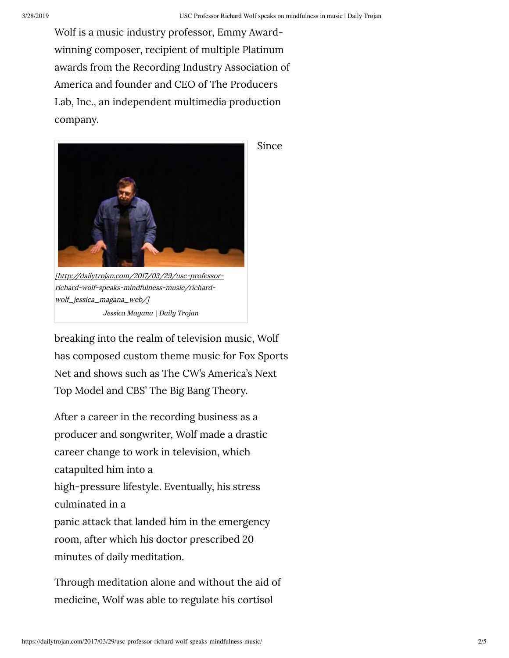Wolf is a music industry professor, Emmy Awardwinning composer, recipient of multiple Platinum awards from the Recording Industry Association of America and founder and CEO of The Producers Lab, Inc., an independent multimedia production company.



*Jessica Magana | Daily Trojan*

breaking into the realm of television music, Wolf has composed custom theme music for Fox Sports Net and shows such as The CW's America's Next Top Model and CBS' The Big Bang Theory.

After a career in the recording business as a producer and songwriter, Wolf made a drastic career change to work in television, which catapulted him into a high-pressure lifestyle. Eventually, his stress culminated in a panic attack that landed him in the emergency room, after which his doctor prescribed 20 minutes of daily meditation.

Through meditation alone and without the aid of medicine, Wolf was able to regulate his cortisol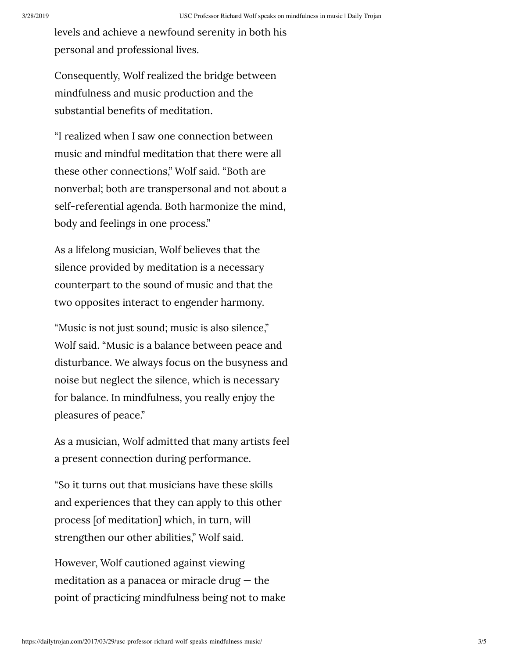levels and achieve a newfound serenity in both his personal and professional lives.

Consequently, Wolf realized the bridge between mindfulness and music production and the substantial benefits of meditation.

"I realized when I saw one connection between music and mindful meditation that there were all these other connections," Wolf said. "Both are nonverbal; both are transpersonal and not about a self-referential agenda. Both harmonize the mind, body and feelings in one process."

As a lifelong musician, Wolf believes that the silence provided by meditation is a necessary counterpart to the sound of music and that the two opposites interact to engender harmony.

"Music is not just sound; music is also silence," Wolf said. "Music is a balance between peace and disturbance. We always focus on the busyness and noise but neglect the silence, which is necessary for balance. In mindfulness, you really enjoy the pleasures of peace."

As a musician, Wolf admitted that many artists feel a present connection during performance.

"So it turns out that musicians have these skills and experiences that they can apply to this other process [of meditation] which, in turn, will strengthen our other abilities," Wolf said.

However, Wolf cautioned against viewing meditation as a panacea or miracle drug  $-$  the point of practicing mindfulness being not to make